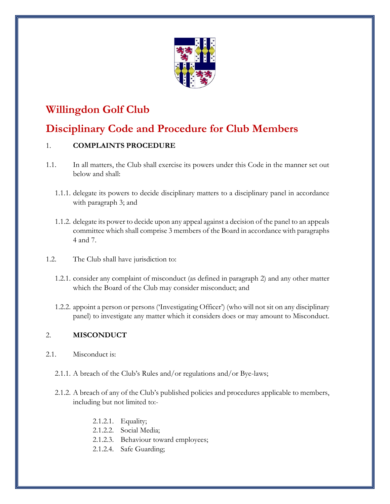

# **Willingdon Golf Club**

# **Disciplinary Code and Procedure for Club Members**

# 1. **COMPLAINTS PROCEDURE**

- 1.1. In all matters, the Club shall exercise its powers under this Code in the manner set out below and shall:
	- 1.1.1. delegate its powers to decide disciplinary matters to a disciplinary panel in accordance with paragraph 3; and
	- 1.1.2. delegate its power to decide upon any appeal against a decision of the panel to an appeals committee which shall comprise 3 members of the Board in accordance with paragraphs 4 and 7.
- 1.2. The Club shall have jurisdiction to:
	- 1.2.1. consider any complaint of misconduct (as defined in paragraph 2) and any other matter which the Board of the Club may consider misconduct; and
	- 1.2.2. appoint a person or persons ('Investigating Officer') (who will not sit on any disciplinary panel) to investigate any matter which it considers does or may amount to Misconduct.

# 2. **MISCONDUCT**

- 2.1. Misconduct is:
	- 2.1.1. A breach of the Club's Rules and/or regulations and/or Bye-laws;
	- 2.1.2. A breach of any of the Club's published policies and procedures applicable to members, including but not limited to:-
		- 2.1.2.1. Equality;
		- 2.1.2.2. Social Media;
		- 2.1.2.3. Behaviour toward employees;
		- 2.1.2.4. Safe Guarding;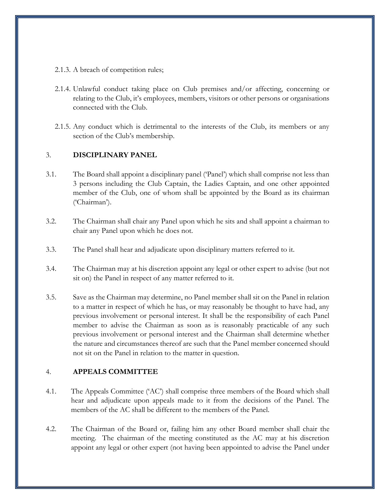- 2.1.3. A breach of competition rules;
- 2.1.4. Unlawful conduct taking place on Club premises and/or affecting, concerning or relating to the Club, it's employees, members, visitors or other persons or organisations connected with the Club.
- 2.1.5. Any conduct which is detrimental to the interests of the Club, its members or any section of the Club's membership.

#### 3. **DISCIPLINARY PANEL**

- 3.1. The Board shall appoint a disciplinary panel ('Panel') which shall comprise not less than 3 persons including the Club Captain, the Ladies Captain, and one other appointed member of the Club, one of whom shall be appointed by the Board as its chairman ('Chairman').
- 3.2. The Chairman shall chair any Panel upon which he sits and shall appoint a chairman to chair any Panel upon which he does not.
- 3.3. The Panel shall hear and adjudicate upon disciplinary matters referred to it.
- 3.4. The Chairman may at his discretion appoint any legal or other expert to advise (but not sit on) the Panel in respect of any matter referred to it.
- 3.5. Save as the Chairman may determine, no Panel member shall sit on the Panel in relation to a matter in respect of which he has, or may reasonably be thought to have had, any previous involvement or personal interest. It shall be the responsibility of each Panel member to advise the Chairman as soon as is reasonably practicable of any such previous involvement or personal interest and the Chairman shall determine whether the nature and circumstances thereof are such that the Panel member concerned should not sit on the Panel in relation to the matter in question.

#### 4. **APPEALS COMMITTEE**

- 4.1. The Appeals Committee ('AC') shall comprise three members of the Board which shall hear and adjudicate upon appeals made to it from the decisions of the Panel. The members of the AC shall be different to the members of the Panel.
- 4.2. The Chairman of the Board or, failing him any other Board member shall chair the meeting. The chairman of the meeting constituted as the AC may at his discretion appoint any legal or other expert (not having been appointed to advise the Panel under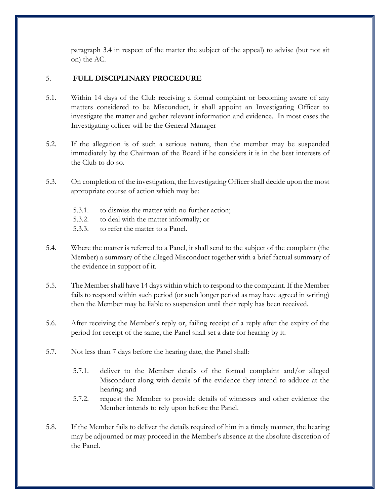paragraph 3.4 in respect of the matter the subject of the appeal) to advise (but not sit on) the AC.

### 5. **FULL DISCIPLINARY PROCEDURE**

- 5.1. Within 14 days of the Club receiving a formal complaint or becoming aware of any matters considered to be Misconduct, it shall appoint an Investigating Officer to investigate the matter and gather relevant information and evidence. In most cases the Investigating officer will be the General Manager
- 5.2. If the allegation is of such a serious nature, then the member may be suspended immediately by the Chairman of the Board if he considers it is in the best interests of the Club to do so.
- 5.3. On completion of the investigation, the Investigating Officer shall decide upon the most appropriate course of action which may be:
	- 5.3.1. to dismiss the matter with no further action;
	- 5.3.2. to deal with the matter informally; or
	- 5.3.3. to refer the matter to a Panel.
- 5.4. Where the matter is referred to a Panel, it shall send to the subject of the complaint (the Member) a summary of the alleged Misconduct together with a brief factual summary of the evidence in support of it.
- 5.5. The Member shall have 14 days within which to respond to the complaint. If the Member fails to respond within such period (or such longer period as may have agreed in writing) then the Member may be liable to suspension until their reply has been received.
- 5.6. After receiving the Member's reply or, failing receipt of a reply after the expiry of the period for receipt of the same, the Panel shall set a date for hearing by it.
- 5.7. Not less than 7 days before the hearing date, the Panel shall:
	- 5.7.1. deliver to the Member details of the formal complaint and/or alleged Misconduct along with details of the evidence they intend to adduce at the hearing; and
	- 5.7.2. request the Member to provide details of witnesses and other evidence the Member intends to rely upon before the Panel.
- 5.8. If the Member fails to deliver the details required of him in a timely manner, the hearing may be adjourned or may proceed in the Member's absence at the absolute discretion of the Panel.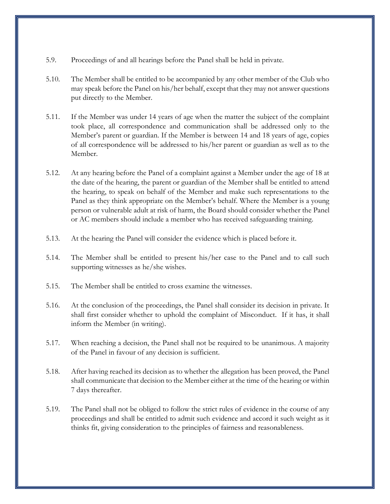- 5.9. Proceedings of and all hearings before the Panel shall be held in private.
- 5.10. The Member shall be entitled to be accompanied by any other member of the Club who may speak before the Panel on his/her behalf, except that they may not answer questions put directly to the Member.
- 5.11. If the Member was under 14 years of age when the matter the subject of the complaint took place, all correspondence and communication shall be addressed only to the Member's parent or guardian. If the Member is between 14 and 18 years of age, copies of all correspondence will be addressed to his/her parent or guardian as well as to the Member.
- 5.12. At any hearing before the Panel of a complaint against a Member under the age of 18 at the date of the hearing, the parent or guardian of the Member shall be entitled to attend the hearing, to speak on behalf of the Member and make such representations to the Panel as they think appropriate on the Member's behalf. Where the Member is a young person or vulnerable adult at risk of harm, the Board should consider whether the Panel or AC members should include a member who has received safeguarding training.
- 5.13. At the hearing the Panel will consider the evidence which is placed before it.
- 5.14. The Member shall be entitled to present his/her case to the Panel and to call such supporting witnesses as he/she wishes.
- 5.15. The Member shall be entitled to cross examine the witnesses.
- 5.16. At the conclusion of the proceedings, the Panel shall consider its decision in private. It shall first consider whether to uphold the complaint of Misconduct. If it has, it shall inform the Member (in writing).
- 5.17. When reaching a decision, the Panel shall not be required to be unanimous. A majority of the Panel in favour of any decision is sufficient.
- 5.18. After having reached its decision as to whether the allegation has been proved, the Panel shall communicate that decision to the Member either at the time of the hearing or within 7 days thereafter.
- 5.19. The Panel shall not be obliged to follow the strict rules of evidence in the course of any proceedings and shall be entitled to admit such evidence and accord it such weight as it thinks fit, giving consideration to the principles of fairness and reasonableness.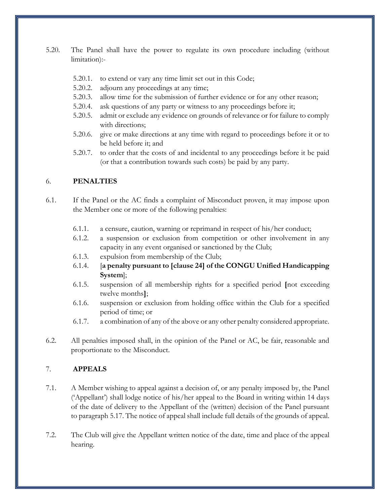- 5.20. The Panel shall have the power to regulate its own procedure including (without limitation):-
	- 5.20.1. to extend or vary any time limit set out in this Code;
	- 5.20.2. adjourn any proceedings at any time;
	- 5.20.3. allow time for the submission of further evidence or for any other reason;
	- 5.20.4. ask questions of any party or witness to any proceedings before it;
	- 5.20.5. admit or exclude any evidence on grounds of relevance or for failure to comply with directions;
	- 5.20.6. give or make directions at any time with regard to proceedings before it or to be held before it; and
	- 5.20.7. to order that the costs of and incidental to any proceedings before it be paid (or that a contribution towards such costs) be paid by any party.

## 6. **PENALTIES**

- 6.1. If the Panel or the AC finds a complaint of Misconduct proven, it may impose upon the Member one or more of the following penalties:
	- 6.1.1. a censure, caution, warning or reprimand in respect of his/her conduct;
	- 6.1.2. a suspension or exclusion from competition or other involvement in any capacity in any event organised or sanctioned by the Club;
	- 6.1.3. expulsion from membership of the Club;
	- 6.1.4. [**a penalty pursuant to [clause 24] of the CONGU Unified Handicapping System**];
	- 6.1.5. suspension of all membership rights for a specified period **[**not exceeding twelve months**]**;
	- 6.1.6. suspension or exclusion from holding office within the Club for a specified period of time; or
	- 6.1.7. a combination of any of the above or any other penalty considered appropriate.
- 6.2. All penalties imposed shall, in the opinion of the Panel or AC, be fair, reasonable and proportionate to the Misconduct.

## 7. **APPEALS**

- 7.1. A Member wishing to appeal against a decision of, or any penalty imposed by, the Panel ('Appellant') shall lodge notice of his/her appeal to the Board in writing within 14 days of the date of delivery to the Appellant of the (written) decision of the Panel pursuant to paragraph 5.17. The notice of appeal shall include full details of the grounds of appeal.
- 7.2. The Club will give the Appellant written notice of the date, time and place of the appeal hearing.